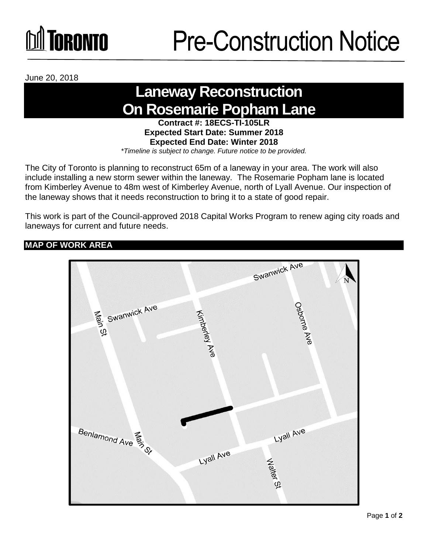# Toronto

June 20, 2018

### **Laneway Reconstruction On Rosemarie Popham Lane**

**Contract #: 18ECS-TI-105LR Expected Start Date: Summer 2018 Expected End Date: Winter 2018**  *\*Timeline is subject to change. Future notice to be provided.*

The City of Toronto is planning to reconstruct 65m of a laneway in your area. The work will also include installing a new storm sewer within the laneway. The Rosemarie Popham lane is located from Kimberley Avenue to 48m west of Kimberley Avenue, north of Lyall Avenue. Our inspection of the laneway shows that it needs reconstruction to bring it to a state of good repair.

This work is part of the Council-approved 2018 Capital Works Program to renew aging city roads and laneways for current and future needs.

### **MAP OF WORK AREA**